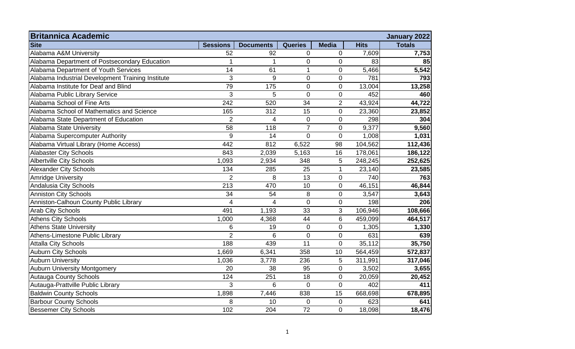| <b>Britannica Academic</b>                        |                 |                  |                |                |             | January 2022  |
|---------------------------------------------------|-----------------|------------------|----------------|----------------|-------------|---------------|
| <b>Site</b>                                       | <b>Sessions</b> | <b>Documents</b> | <b>Queries</b> | <b>Media</b>   | <b>Hits</b> | <b>Totals</b> |
| Alabama A&M University                            | 52              | 92               | 0              | 0              | 7,609       | 7,753         |
| Alabama Department of Postsecondary Education     | $\mathbf 1$     | $\mathbf 1$      | 0              | 0              | 83          | 85            |
| Alabama Department of Youth Services              | 14              | 61               | 1              | 0              | 5,466       | 5,542         |
| Alabama Industrial Development Training Institute | 3               | 9                | $\mathbf 0$    | 0              | 781         | 793           |
| Alabama Institute for Deaf and Blind              | 79              | 175              | $\overline{0}$ | 0              | 13,004      | 13,258        |
| Alabama Public Library Service                    | 3               | 5                | $\mathbf 0$    | 0              | 452         | 460           |
| Alabama School of Fine Arts                       | 242             | 520              | 34             | $\overline{2}$ | 43,924      | 44,722        |
| Alabama School of Mathematics and Science         | 165             | 312              | 15             | 0              | 23,360      | 23,852        |
| Alabama State Department of Education             | $\overline{2}$  | $\overline{4}$   | $\overline{0}$ | 0              | 298         | 304           |
| Alabama State University                          | 58              | 118              | $\overline{7}$ | 0              | 9,377       | 9,560         |
| Alabama Supercomputer Authority                   | 9               | 14               | $\mathbf 0$    | $\mathbf 0$    | 1,008       | 1,031         |
| Alabama Virtual Library (Home Access)             | 442             | 812              | 6,522          | 98             | 104,562     | 112,436       |
| <b>Alabaster City Schools</b>                     | 843             | 2,039            | 5,163          | 16             | 178,061     | 186,122       |
| <b>Albertville City Schools</b>                   | 1,093           | 2,934            | 348            | 5              | 248,245     | 252,625       |
| <b>Alexander City Schools</b>                     | 134             | 285              | 25             | 1              | 23,140      | 23,585        |
| <b>Amridge University</b>                         | $\overline{2}$  | 8                | 13             | 0              | 740         | 763           |
| Andalusia City Schools                            | 213             | 470              | 10             | 0              | 46,151      | 46,844        |
| <b>Anniston City Schools</b>                      | 34              | 54               | 8              | $\mathbf 0$    | 3,547       | 3,643         |
| Anniston-Calhoun County Public Library            | 4               | $\overline{4}$   | $\mathbf 0$    | 0              | 198         | 206           |
| <b>Arab City Schools</b>                          | 491             | 1,193            | 33             | 3              | 106,946     | 108,666       |
| <b>Athens City Schools</b>                        | 1,000           | 4,368            | 44             | 6              | 459,099     | 464,517       |
| <b>Athens State University</b>                    | 6               | 19               | $\mathbf 0$    | 0              | 1,305       | 1,330         |
| Athens-Limestone Public Library                   | $\overline{2}$  | 6                | $\mathbf 0$    | $\mathbf 0$    | 631         | 639           |
| <b>Attalla City Schools</b>                       | 188             | 439              | 11             | $\mathbf 0$    | 35,112      | 35,750        |
| <b>Auburn City Schools</b>                        | 1,669           | 6,341            | 358            | 10             | 564,459     | 572,837       |
| <b>Auburn University</b>                          | 1,036           | 3,778            | 236            | 5              | 311,991     | 317,046       |
| <b>Auburn University Montgomery</b>               | 20              | 38               | 95             | 0              | 3,502       | 3,655         |
| <b>Autauga County Schools</b>                     | 124             | 251              | 18             | 0              | 20,059      | 20,452        |
| Autauga-Prattville Public Library                 | 3               | $6\phantom{1}$   | $\mathbf 0$    | $\mathbf 0$    | 402         | 411           |
| <b>Baldwin County Schools</b>                     | 1,898           | 7,446            | 838            | 15             | 668,698     | 678,895       |
| <b>Barbour County Schools</b>                     | 8               | 10               | $\mathbf 0$    | $\mathbf 0$    | 623         | 641           |
| <b>Bessemer City Schools</b>                      | 102             | 204              | 72             | 0              | 18,098      | 18,476        |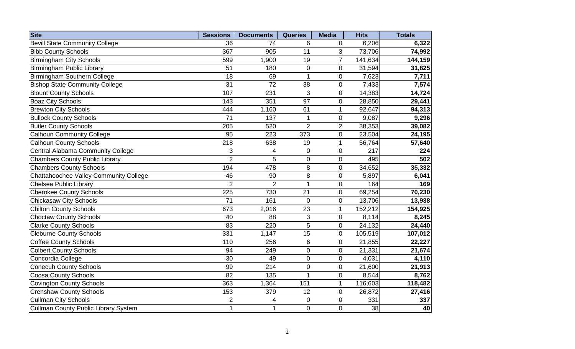| <b>Site</b>                                 | <b>Sessions</b> | <b>Documents</b> | <b>Queries</b>   | <b>Media</b>   | <b>Hits</b> | <b>Totals</b> |
|---------------------------------------------|-----------------|------------------|------------------|----------------|-------------|---------------|
| <b>Bevill State Community College</b>       | 36              | 74               | 6                | 0              | 6,206       | 6,322         |
| <b>Bibb County Schools</b>                  | 367             | 905              | 11               | 3              | 73,706      | 74,992        |
| <b>Birmingham City Schools</b>              | 599             | 1,900            | 19               | $\overline{7}$ | 141,634     | 144,159       |
| <b>Birmingham Public Library</b>            | 51              | 180              | $\pmb{0}$        | $\mathbf 0$    | 31,594      | 31,825        |
| Birmingham Southern College                 | 18              | 69               | 1                | $\pmb{0}$      | 7,623       | 7,711         |
| <b>Bishop State Community College</b>       | 31              | 72               | 38               | $\mathbf 0$    | 7,433       | 7,574         |
| <b>Blount County Schools</b>                | 107             | 231              | 3                | $\mathbf 0$    | 14,383      | 14,724        |
| <b>Boaz City Schools</b>                    | 143             | 351              | $\overline{97}$  | $\mathbf 0$    | 28,850      | 29,441        |
| <b>Brewton City Schools</b>                 | 444             | 1,160            | 61               | 1              | 92,647      | 94,313        |
| <b>Bullock County Schools</b>               | 71              | 137              | 1                | $\mathbf 0$    | 9,087       | 9,296         |
| <b>Butler County Schools</b>                | 205             | 520              | $\overline{2}$   | 2              | 38,353      | 39,082        |
| <b>Calhoun Community College</b>            | 95              | 223              | $\overline{373}$ | $\mathbf 0$    | 23,504      | 24,195        |
| <b>Calhoun County Schools</b>               | 218             | 638              | 19               | 1              | 56,764      | 57,640        |
| Central Alabama Community College           | 3               | 4                | $\mathbf 0$      | $\mathbf 0$    | 217         | 224           |
| <b>Chambers County Public Library</b>       | $\overline{2}$  | 5                | $\pmb{0}$        | $\pmb{0}$      | 495         | 502           |
| <b>Chambers County Schools</b>              | 194             | 478              | 8                | $\mathbf 0$    | 34,652      | 35,332        |
| Chattahoochee Valley Community College      | 46              | 90               | 8                | $\mathbf 0$    | 5,897       | 6,041         |
| Chelsea Public Library                      | $\overline{2}$  | $\overline{2}$   | 1                | $\mathbf 0$    | 164         | 169           |
| <b>Cherokee County Schools</b>              | 225             | 730              | $\overline{21}$  | $\mathbf 0$    | 69,254      | 70,230        |
| <b>Chickasaw City Schools</b>               | $\overline{71}$ | 161              | $\mathbf 0$      | $\mathbf 0$    | 13,706      | 13,938        |
| <b>Chilton County Schools</b>               | 673             | 2,016            | 23               | $\mathbf{1}$   | 152,212     | 154,925       |
| <b>Choctaw County Schools</b>               | 40              | 88               | 3                | $\mathbf 0$    | 8,114       | 8,245         |
| <b>Clarke County Schools</b>                | 83              | 220              | 5                | $\mathbf 0$    | 24,132      | 24,440        |
| <b>Cleburne County Schools</b>              | 331             | 1,147            | 15               | $\mathbf 0$    | 105,519     | 107,012       |
| <b>Coffee County Schools</b>                | 110             | 256              | 6                | $\mathbf 0$    | 21,855      | 22,227        |
| <b>Colbert County Schools</b>               | 94              | 249              | $\mathbf 0$      | $\mathbf 0$    | 21,331      | 21,674        |
| Concordia College                           | 30              | 49               | $\mathbf 0$      | 0              | 4,031       | 4,110         |
| <b>Conecuh County Schools</b>               | 99              | 214              | $\overline{0}$   | $\overline{0}$ | 21,600      | 21,913        |
| <b>Coosa County Schools</b>                 | 82              | 135              | 1                | $\mathbf 0$    | 8,544       | 8,762         |
| <b>Covington County Schools</b>             | 363             | 1,364            | 151              | $\overline{1}$ | 116,603     | 118,482       |
| <b>Crenshaw County Schools</b>              | 153             | 379              | 12               | 0              | 26,872      | 27,416        |
| <b>Cullman City Schools</b>                 | $\overline{2}$  | 4                | $\mathbf 0$      | $\mathbf 0$    | 331         | 337           |
| <b>Cullman County Public Library System</b> | $\mathbf{1}$    | $\mathbf{1}$     | $\overline{0}$   | $\mathbf 0$    | 38          | 40            |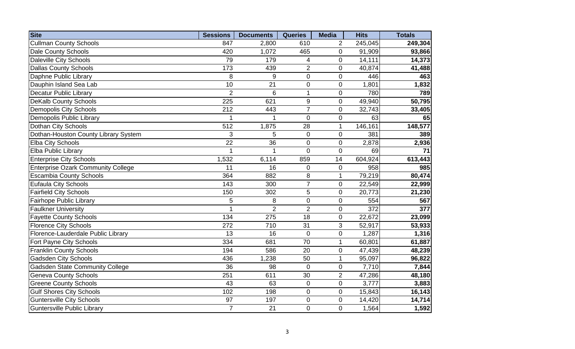| <b>Site</b>                               | <b>Sessions</b> | <b>Documents</b> | <b>Queries</b> | <b>Media</b>   | <b>Hits</b> | <b>Totals</b> |
|-------------------------------------------|-----------------|------------------|----------------|----------------|-------------|---------------|
| <b>Cullman County Schools</b>             | 847             | 2,800            | 610            | $\overline{2}$ | 245,045     | 249,304       |
| <b>Dale County Schools</b>                | 420             | 1,072            | 465            | $\overline{0}$ | 91,909      | 93,866        |
| <b>Daleville City Schools</b>             | 79              | 179              | 4              | $\mathbf 0$    | 14,111      | 14,373        |
| <b>Dallas County Schools</b>              | 173             | 439              | $\overline{2}$ | $\mathbf 0$    | 40,874      | 41,488        |
| Daphne Public Library                     | 8               | $9\,$            | 0              | $\mathbf 0$    | 446         | 463           |
| Dauphin Island Sea Lab                    | 10              | 21               | 0              | 0              | 1,801       | 1,832         |
| <b>Decatur Public Library</b>             | $\overline{2}$  | $6\phantom{1}$   | $\mathbf{1}$   | 0              | 780         | 789           |
| <b>DeKalb County Schools</b>              | 225             | 621              | 9              | $\overline{0}$ | 49,940      | 50,795        |
| <b>Demopolis City Schools</b>             | 212             | 443              | $\overline{7}$ | $\mathbf 0$    | 32,743      | 33,405        |
| Demopolis Public Library                  |                 |                  | 0              | $\mathbf 0$    | 63          | 65            |
| Dothan City Schools                       | 512             | 1,875            | 28             | 1              | 146,161     | 148,577       |
| Dothan-Houston County Library System      | 3               | 5                | $\mathbf 0$    | $\mathbf 0$    | 381         | 389           |
| Elba City Schools                         | 22              | 36               | 0              | 0              | 2,878       | 2,936         |
| Elba Public Library                       | 1               |                  | 0              | $\overline{0}$ | 69          | 71            |
| <b>Enterprise City Schools</b>            | 1,532           | 6,114            | 859            | 14             | 604,924     | 613,443       |
| <b>Enterprise Ozark Community College</b> | 11              | 16               | 0              | $\mathbf 0$    | 958         | 985           |
| <b>Escambia County Schools</b>            | 364             | 882              | 8              | 1              | 79,219      | 80,474        |
| <b>Eufaula City Schools</b>               | 143             | 300              | $\overline{7}$ | 0              | 22,549      | 22,999        |
| <b>Fairfield City Schools</b>             | 150             | 302              | 5              | $\mathbf 0$    | 20,773      | 21,230        |
| Fairhope Public Library                   | 5               | 8                | $\mathbf 0$    | $\mathbf 0$    | 554         | 567           |
| <b>Faulkner University</b>                |                 | $\overline{2}$   | $\overline{2}$ | $\mathbf 0$    | 372         | 377           |
| <b>Fayette County Schools</b>             | 134             | 275              | 18             | 0              | 22,672      | 23,099        |
| <b>Florence City Schools</b>              | 272             | 710              | 31             | 3              | 52,917      | 53,933        |
| Florence-Lauderdale Public Library        | 13              | 16               | $\mathbf 0$    | $\mathbf 0$    | 1,287       | 1,316         |
| Fort Payne City Schools                   | 334             | 681              | 70             | 1              | 60,801      | 61,887        |
| <b>Franklin County Schools</b>            | 194             | 586              | 20             | $\mathbf 0$    | 47,439      | 48,239        |
| <b>Gadsden City Schools</b>               | 436             | 1,238            | 50             | 1              | 95,097      | 96,822        |
| <b>Gadsden State Community College</b>    | 36              | 98               | $\overline{0}$ | $\pmb{0}$      | 7,710       | 7,844         |
| <b>Geneva County Schools</b>              | 251             | 611              | 30             | $\overline{2}$ | 47,286      | 48,180        |
| <b>Greene County Schools</b>              | 43              | 63               | 0              | $\mathbf 0$    | 3,777       | 3,883         |
| <b>Gulf Shores City Schools</b>           | 102             | 198              | 0              | $\pmb{0}$      | 15,843      | 16,143        |
| <b>Guntersville City Schools</b>          | 97              | 197              | 0              | $\mathbf 0$    | 14,420      | 14,714        |
| <b>Guntersville Public Library</b>        | $\overline{7}$  | 21               | 0              | 0              | 1,564       | 1,592         |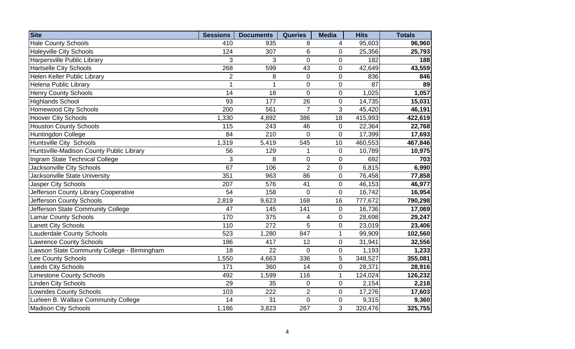| <b>Site</b>                                 | <b>Sessions</b> | <b>Documents</b> | <b>Queries</b>  | <b>Media</b>     | <b>Hits</b> | <b>Totals</b> |
|---------------------------------------------|-----------------|------------------|-----------------|------------------|-------------|---------------|
| <b>Hale County Schools</b>                  | 410             | 935              | 8               | 4                | 95,603      | 96,960        |
| <b>Haleyville City Schools</b>              | 124             | 307              | 6               | $\overline{0}$   | 25,356      | 25,793        |
| Harpersville Public Library                 | 3               | 3                | $\overline{0}$  | $\overline{0}$   | 182         | 188           |
| <b>Hartselle City Schools</b>               | 268             | 599              | $\overline{43}$ | $\pmb{0}$        | 42,649      | 43,559        |
| Helen Keller Public Library                 | $\overline{2}$  | 8                | $\mathbf 0$     | $\boldsymbol{0}$ | 836         | 846           |
| <b>Helena Public Library</b>                | 1               | 1                | $\mathbf 0$     | $\mathbf 0$      | 87          | 89            |
| <b>Henry County Schools</b>                 | 14              | 18               | $\overline{0}$  | 0                | 1,025       | 1,057         |
| <b>Highlands School</b>                     | 93              | 177              | 26              | $\pmb{0}$        | 14,735      | 15,031        |
| <b>Homewood City Schools</b>                | 200             | 561              | $\overline{7}$  | 3                | 45,420      | 46,191        |
| <b>Hoover City Schools</b>                  | 1,330           | 4,892            | 386             | 18               | 415,993     | 422,619       |
| <b>Houston County Schools</b>               | 115             | 243              | 46              | 0                | 22,364      | 22,768        |
| Huntingdon College                          | 84              | 210              | $\overline{0}$  | $\overline{0}$   | 17,399      | 17,693        |
| Huntsville City Schools                     | 1,319           | 5,419            | 545             | 10               | 460,553     | 467,846       |
| Huntsville-Madison County Public Library    | 56              | 129              |                 | $\mathbf 0$      | 10,789      | 10,975        |
| Ingram State Technical College              | 3               | 8                | $\pmb{0}$       | $\mathbf 0$      | 692         | 703           |
| <b>Jacksonville City Schools</b>            | 67              | 106              | $\overline{2}$  | $\mathbf 0$      | 6,815       | 6,990         |
| <b>Jacksonville State University</b>        | 351             | 963              | 86              | $\mathbf 0$      | 76,458      | 77,858        |
| <b>Jasper City Schools</b>                  | 207             | 576              | 41              | $\mathbf 0$      | 46,153      | 46,977        |
| Jefferson County Library Cooperative        | 54              | 158              | $\overline{0}$  | $\overline{0}$   | 16,742      | 16,954        |
| Jefferson County Schools                    | 2,819           | 9,623            | 168             | 16               | 777,672     | 790,298       |
| Jefferson State Community College           | 47              | 145              | 141             | $\mathbf 0$      | 16,736      | 17,069        |
| Lamar County Schools                        | 170             | 375              | 4               | $\overline{0}$   | 28,698      | 29,247        |
| <b>Lanett City Schools</b>                  | 110             | 272              | 5               | $\overline{0}$   | 23,019      | 23,406        |
| <b>Lauderdale County Schools</b>            | 523             | 1,280            | 847             | 1                | 99,909      | 102,560       |
| <b>Lawrence County Schools</b>              | 186             | 417              | 12              | $\pmb{0}$        | 31,941      | 32,556        |
| Lawson State Community College - Birmingham | 18              | 22               | $\overline{0}$  | $\mathbf 0$      | 1,193       | 1,233         |
| Lee County Schools                          | 1,550           | 4,663            | 336             | 5                | 348,527     | 355,081       |
| <b>Leeds City Schools</b>                   | 171             | 360              | 14              | $\overline{0}$   | 28,371      | 28,916        |
| <b>Limestone County Schools</b>             | 492             | 1,599            | 116             | 1                | 124,024     | 126,232       |
| <b>Linden City Schools</b>                  | 29              | 35               | $\mathbf 0$     | $\mathbf 0$      | 2,154       | 2,218         |
| <b>Lowndes County Schools</b>               | 103             | 222              | $\overline{2}$  | $\mathbf 0$      | 17,276      | 17,603        |
| Lurleen B. Wallace Community College        | 14              | 31               | 0               | $\mathbf 0$      | 9,315       | 9,360         |
| <b>Madison City Schools</b>                 | 1,186           | 3,823            | 267             | 3                | 320,476     | 325,755       |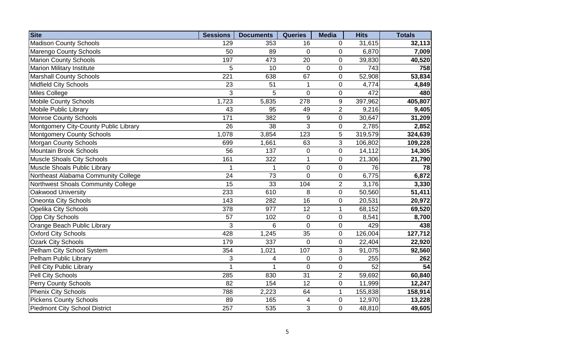| <b>Site</b>                           | <b>Sessions</b> | <b>Documents</b> | <b>Queries</b> | <b>Media</b>   | <b>Hits</b> | <b>Totals</b> |
|---------------------------------------|-----------------|------------------|----------------|----------------|-------------|---------------|
| <b>Madison County Schools</b>         | 129             | 353              | 16             | $\Omega$       | 31,615      | 32,113        |
| Marengo County Schools                | 50              | 89               | $\Omega$       | $\overline{0}$ | 6,870       | 7,009         |
| <b>Marion County Schools</b>          | 197             | 473              | 20             | $\overline{0}$ | 39,830      | 40,520        |
| <b>Marion Military Institute</b>      | 5               | 10               | $\mathbf 0$    | $\mathbf 0$    | 743         | 758           |
| <b>Marshall County Schools</b>        | 221             | 638              | 67             | $\pmb{0}$      | 52,908      | 53,834        |
| <b>Midfield City Schools</b>          | 23              | 51               | 1              | $\mathbf 0$    | 4,774       | 4,849         |
| Miles College                         | 3               | 5                | $\overline{0}$ | $\mathbf 0$    | 472         | 480           |
| <b>Mobile County Schools</b>          | 1,723           | 5,835            | 278            | $9\,$          | 397,962     | 405,807       |
| <b>Mobile Public Library</b>          | 43              | 95               | 49             | $\overline{2}$ | 9,216       | 9,405         |
| <b>Monroe County Schools</b>          | 171             | 382              | 9              | $\mathbf 0$    | 30,647      | 31,209        |
| Montgomery City-County Public Library | 26              | 38               | 3              | $\mathbf 0$    | 2,785       | 2,852         |
| <b>Montgomery County Schools</b>      | 1,078           | 3,854            | 123            | 5              | 319,579     | 324,639       |
| <b>Morgan County Schools</b>          | 699             | 1,661            | 63             | 3              | 106,802     | 109,228       |
| Mountain Brook Schools                | 56              | 137              | $\mathbf 0$    | $\mathbf 0$    | 14,112      | 14,305        |
| Muscle Shoals City Schools            | 161             | 322              | 1              | $\pmb{0}$      | 21,306      | 21,790        |
| Muscle Shoals Public Library          | 1               | 1                | $\mathbf 0$    | $\mathbf 0$    | 76          | 78            |
| Northeast Alabama Community College   | 24              | 73               | $\overline{0}$ | $\mathbf 0$    | 6,775       | 6,872         |
| Northwest Shoals Community College    | 15              | 33               | 104            | $\overline{2}$ | 3,176       | 3,330         |
| Oakwood University                    | 233             | 610              | 8              | $\overline{0}$ | 50,560      | 51,411        |
| <b>Oneonta City Schools</b>           | 143             | 282              | 16             | $\mathbf 0$    | 20,531      | 20,972        |
| Opelika City Schools                  | 378             | 977              | 12             | $\mathbf{1}$   | 68,152      | 69,520        |
| <b>Opp City Schools</b>               | 57              | 102              | $\mathbf 0$    | $\mathbf 0$    | 8,541       | 8,700         |
| Orange Beach Public Library           | 3               | 6                | $\overline{0}$ | $\overline{0}$ | 429         | 438           |
| <b>Oxford City Schools</b>            | 428             | 1,245            | 35             | $\mathbf 0$    | 126,004     | 127,712       |
| <b>Ozark City Schools</b>             | 179             | 337              | $\overline{0}$ | $\mathbf 0$    | 22,404      | 22,920        |
| Pelham City School System             | 354             | 1,021            | 107            | 3              | 91,075      | 92,560        |
| Pelham Public Library                 | 3               | 4                | $\mathbf 0$    | $\mathbf 0$    | 255         | 262           |
| Pell City Public Library              | 1               | 1                | $\overline{0}$ | $\mathbf 0$    | 52          | 54            |
| Pell City Schools                     | 285             | 830              | 31             | $\overline{2}$ | 59,692      | 60,840        |
| <b>Perry County Schools</b>           | 82              | 154              | 12             | $\mathbf 0$    | 11,999      | 12,247        |
| <b>Phenix City Schools</b>            | 788             | 2,223            | 64             | $\mathbf{1}$   | 155,838     | 158,914       |
| <b>Pickens County Schools</b>         | 89              | 165              | 4              | 0              | 12,970      | 13,228        |
| <b>Piedmont City School District</b>  | 257             | 535              | 3              | $\mathbf 0$    | 48,810      | 49,605        |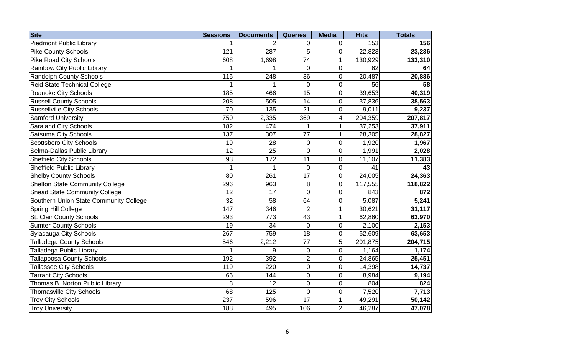| <b>Site</b>                            | <b>Sessions</b> | <b>Documents</b> | <b>Queries</b> | <b>Media</b>   | <b>Hits</b> | <b>Totals</b> |
|----------------------------------------|-----------------|------------------|----------------|----------------|-------------|---------------|
| <b>Piedmont Public Library</b>         | 1               | $\overline{2}$   | 0              | 0              | 153         | 156           |
| <b>Pike County Schools</b>             | 121             | 287              | 5              | $\mathbf 0$    | 22,823      | 23,236        |
| <b>Pike Road City Schools</b>          | 608             | 1,698            | 74             | 1              | 130,929     | 133,310       |
| Rainbow City Public Library            |                 | $\mathbf{1}$     | $\mathbf 0$    | $\mathbf 0$    | 62          | 64            |
| <b>Randolph County Schools</b>         | 115             | 248              | 36             | $\pmb{0}$      | 20,487      | 20,886        |
| Reid State Technical College           | 1               | 1                | $\mathbf 0$    | $\pmb{0}$      | 56          | 58            |
| <b>Roanoke City Schools</b>            | 185             | 466              | 15             | $\mathbf 0$    | 39,653      | 40,319        |
| <b>Russell County Schools</b>          | 208             | 505              | 14             | $\overline{0}$ | 37,836      | 38,563        |
| <b>Russellville City Schools</b>       | 70              | 135              | 21             | $\mathbf 0$    | 9,011       | 9,237         |
| <b>Samford University</b>              | 750             | 2,335            | 369            | 4              | 204,359     | 207,817       |
| <b>Saraland City Schools</b>           | 182             | 474              | $\mathbf 1$    | 1              | 37,253      | 37,911        |
| <b>Satsuma City Schools</b>            | 137             | 307              | 77             | $\mathbf{1}$   | 28,305      | 28,827        |
| <b>Scottsboro City Schools</b>         | 19              | 28               | $\mathbf 0$    | $\mathbf 0$    | 1,920       | 1,967         |
| Selma-Dallas Public Library            | 12              | 25               | $\mathbf 0$    | $\mathbf 0$    | 1,991       | 2,028         |
| <b>Sheffield City Schools</b>          | 93              | 172              | 11             | $\mathbf 0$    | 11,107      | 11,383        |
| <b>Sheffield Public Library</b>        | 1               | 1                | $\mathbf 0$    | $\mathbf 0$    | 41          | 43            |
| <b>Shelby County Schools</b>           | 80              | 261              | 17             | $\mathbf 0$    | 24,005      | 24,363        |
| <b>Shelton State Community College</b> | 296             | 963              | 8              | $\mathbf 0$    | 117,555     | 118,822       |
| <b>Snead State Community College</b>   | 12              | 17               | $\overline{0}$ | $\overline{0}$ | 843         | 872           |
| Southern Union State Community College | 32              | 58               | 64             | $\mathbf 0$    | 5,087       | 5,241         |
| Spring Hill College                    | 147             | 346              | 2              | $\mathbf 1$    | 30,621      | 31,117        |
| St. Clair County Schools               | 293             | 773              | 43             | $\mathbf{1}$   | 62,860      | 63,970        |
| <b>Sumter County Schools</b>           | 19              | 34               | $\overline{0}$ | $\overline{0}$ | 2,100       | 2,153         |
| <b>Sylacauga City Schools</b>          | 267             | 759              | 18             | $\overline{0}$ | 62,609      | 63,653        |
| <b>Talladega County Schools</b>        | 546             | 2,212            | 77             | 5              | 201,875     | 204,715       |
| <b>Talladega Public Library</b>        | 1               | 9                | $\mathbf 0$    | $\pmb{0}$      | 1,164       | 1,174         |
| <b>Tallapoosa County Schools</b>       | 192             | 392              | $\overline{2}$ | $\pmb{0}$      | 24,865      | 25,451        |
| <b>Tallassee City Schools</b>          | 119             | 220              | $\mathbf 0$    | $\mathbf 0$    | 14,398      | 14,737        |
| <b>Tarrant City Schools</b>            | 66              | 144              | $\mathbf 0$    | $\mathbf 0$    | 8,984       | 9,194         |
| Thomas B. Norton Public Library        | 8               | 12               | $\pmb{0}$      | $\mathbf 0$    | 804         | 824           |
| <b>Thomasville City Schools</b>        | 68              | 125              | $\mathbf 0$    | $\pmb{0}$      | 7,520       | 7,713         |
| <b>Troy City Schools</b>               | 237             | 596              | 17             | $\mathbf{1}$   | 49,291      | 50,142        |
| <b>Troy University</b>                 | 188             | 495              | 106            | 2              | 46,287      | 47,078        |